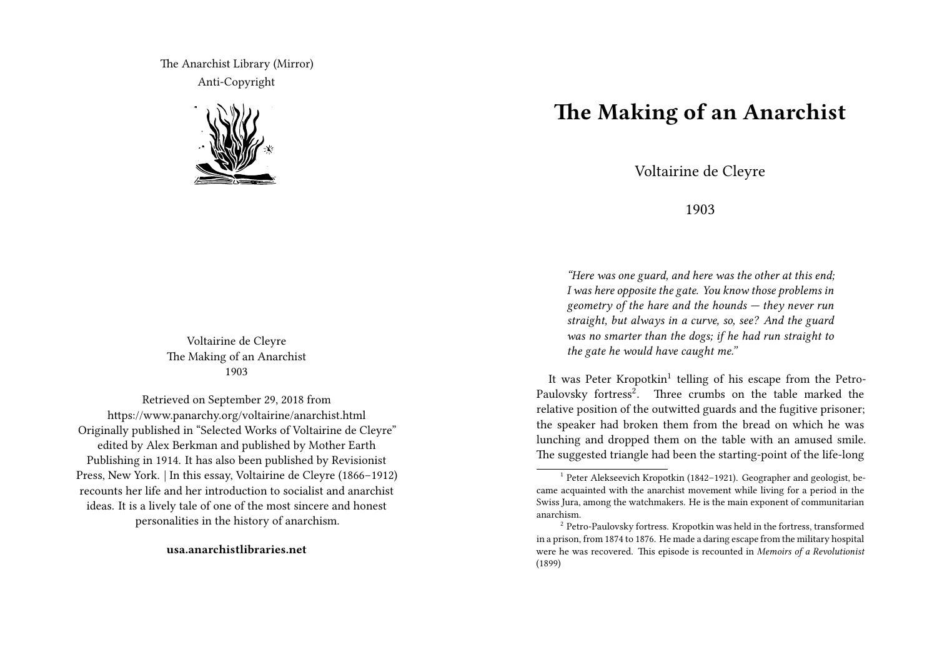The Anarchist Library (Mirror) Anti-Copyright



Voltairine de Cleyre The Making of an Anarchist 1903

Retrieved on September 29, 2018 from https://www.panarchy.org/voltairine/anarchist.html Originally published in "Selected Works of Voltairine de Cleyre" edited by Alex Berkman and published by Mother Earth Publishing in 1914. It has also been published by Revisionist Press, New York. | In this essay, Voltairine de Cleyre (1866–1912) recounts her life and her introduction to socialist and anarchist ideas. It is a lively tale of one of the most sincere and honest personalities in the history of anarchism.

**usa.anarchistlibraries.net**

## **The Making of an Anarchist**

Voltairine de Cleyre

1903

*"Here was one guard, and here was the other at this end; I was here opposite the gate. You know those problems in geometry of the hare and the hounds — they never run straight, but always in a curve, so, see? And the guard was no smarter than the dogs; if he had run straight to the gate he would have caught me."*

It was Peter Kropotkin<sup>1</sup> telling of his escape from the Petro-Paulovsky fortress<sup>2</sup>. Three crumbs on the table marked the relative position of the outwitted guards and the fugitive prisoner; the speaker had broken them from the bread on which he was lunching and dropped them on the table with an amused smile. The suggested triangle had been the starting-point of the life-long

<sup>&</sup>lt;sup>1</sup> Peter Alekseevich Kropotkin (1842-1921). Geographer and geologist, became acquainted with the anarchist movement while living for a period in the Swiss Jura, among the watchmakers. He is the main exponent of communitarian anarchism.

<sup>&</sup>lt;sup>2</sup> Petro-Paulovsky fortress. Kropotkin was held in the fortress, transformed in a prison, from 1874 to 1876. He made a daring escape from the military hospital were he was recovered. This episode is recounted in *Memoirs of a Revolutionist* (1899)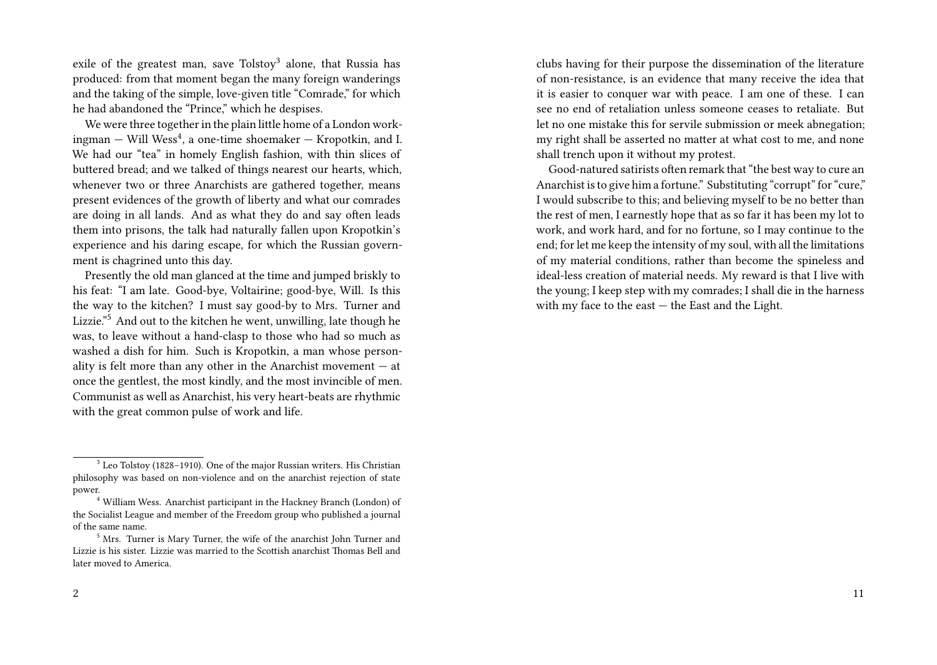exile of the greatest man, save Tolstoy<sup>3</sup> alone, that Russia has produced: from that moment began the many foreign wanderings and the taking of the simple, love-given title "Comrade," for which he had abandoned the "Prince," which he despises.

We were three together in the plain little home of a London work- ${\rm imgman-Will\ Wess^4,}$  a one-time shoemaker  $-$  Kropotkin, and I. We had our "tea" in homely English fashion, with thin slices of buttered bread; and we talked of things nearest our hearts, which, whenever two or three Anarchists are gathered together, means present evidences of the growth of liberty and what our comrades are doing in all lands. And as what they do and say often leads them into prisons, the talk had naturally fallen upon Kropotkin's experience and his daring escape, for which the Russian government is chagrined unto this day.

Presently the old man glanced at the time and jumped briskly to his feat: "I am late. Good-bye, Voltairine; good-bye, Will. Is this the way to the kitchen? I must say good-by to Mrs. Turner and Lizzie."<sup>5</sup> And out to the kitchen he went, unwilling, late though he was, to leave without a hand-clasp to those who had so much as washed a dish for him. Such is Kropotkin, a man whose personality is felt more than any other in the Anarchist movement — at once the gentlest, the most kindly, and the most invincible of men. Communist as well as Anarchist, his very heart-beats are rhythmic with the great common pulse of work and life.

clubs having for their purpose the dissemination of the literature of non-resistance, is an evidence that many receive the idea that it is easier to conquer war with peace. I am one of these. I can see no end of retaliation unless someone ceases to retaliate. But let no one mistake this for servile submission or meek abnegation; my right shall be asserted no matter at what cost to me, and none shall trench upon it without my protest.

Good-natured satirists often remark that "the best way to cure an Anarchist is to give him a fortune." Substituting "corrupt" for "cure," I would subscribe to this; and believing myself to be no better than the rest of men, I earnestly hope that as so far it has been my lot to work, and work hard, and for no fortune, so I may continue to the end; for let me keep the intensity of my soul, with all the limitations of my material conditions, rather than become the spineless and ideal-less creation of material needs. My reward is that I live with the young; I keep step with my comrades; I shall die in the harness with my face to the east — the East and the Light.

 $3$  Leo Tolstoy (1828–1910). One of the major Russian writers. His Christian philosophy was based on non-violence and on the anarchist rejection of state power.

<sup>4</sup> William Wess. Anarchist participant in the Hackney Branch (London) of the Socialist League and member of the Freedom group who published a journal of the same name.

<sup>5</sup> Mrs. Turner is Mary Turner, the wife of the anarchist John Turner and Lizzie is his sister. Lizzie was married to the Scottish anarchist Thomas Bell and later moved to America.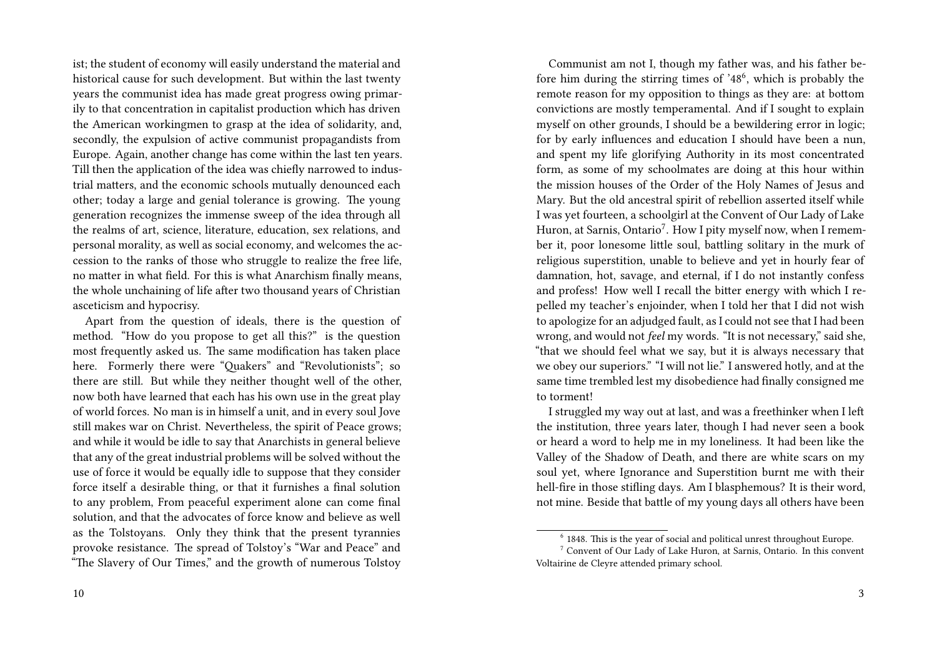ist; the student of economy will easily understand the material and historical cause for such development. But within the last twenty years the communist idea has made great progress owing primarily to that concentration in capitalist production which has driven the American workingmen to grasp at the idea of solidarity, and, secondly, the expulsion of active communist propagandists from Europe. Again, another change has come within the last ten years. Till then the application of the idea was chiefly narrowed to industrial matters, and the economic schools mutually denounced each other; today a large and genial tolerance is growing. The young generation recognizes the immense sweep of the idea through all the realms of art, science, literature, education, sex relations, and personal morality, as well as social economy, and welcomes the accession to the ranks of those who struggle to realize the free life, no matter in what field. For this is what Anarchism finally means, the whole unchaining of life after two thousand years of Christian asceticism and hypocrisy.

Apart from the question of ideals, there is the question of method. "How do you propose to get all this?" is the question most frequently asked us. The same modification has taken place here. Formerly there were "Quakers" and "Revolutionists"; so there are still. But while they neither thought well of the other, now both have learned that each has his own use in the great play of world forces. No man is in himself a unit, and in every soul Jove still makes war on Christ. Nevertheless, the spirit of Peace grows; and while it would be idle to say that Anarchists in general believe that any of the great industrial problems will be solved without the use of force it would be equally idle to suppose that they consider force itself a desirable thing, or that it furnishes a final solution to any problem, From peaceful experiment alone can come final solution, and that the advocates of force know and believe as well as the Tolstoyans. Only they think that the present tyrannies provoke resistance. The spread of Tolstoy's "War and Peace" and "The Slavery of Our Times," and the growth of numerous Tolstoy

Communist am not I, though my father was, and his father before him during the stirring times of '48<sup>6</sup>, which is probably the remote reason for my opposition to things as they are: at bottom convictions are mostly temperamental. And if I sought to explain myself on other grounds, I should be a bewildering error in logic; for by early influences and education I should have been a nun, and spent my life glorifying Authority in its most concentrated form, as some of my schoolmates are doing at this hour within the mission houses of the Order of the Holy Names of Jesus and Mary. But the old ancestral spirit of rebellion asserted itself while I was yet fourteen, a schoolgirl at the Convent of Our Lady of Lake Huron, at Sarnis, Ontario<sup>7</sup>. How I pity myself now, when I remember it, poor lonesome little soul, battling solitary in the murk of religious superstition, unable to believe and yet in hourly fear of damnation, hot, savage, and eternal, if I do not instantly confess and profess! How well I recall the bitter energy with which I repelled my teacher's enjoinder, when I told her that I did not wish to apologize for an adjudged fault, as I could not see that I had been wrong, and would not *feel* my words. "It is not necessary," said she, "that we should feel what we say, but it is always necessary that we obey our superiors." "I will not lie." I answered hotly, and at the same time trembled lest my disobedience had finally consigned me to torment!

I struggled my way out at last, and was a freethinker when I left the institution, three years later, though I had never seen a book or heard a word to help me in my loneliness. It had been like the Valley of the Shadow of Death, and there are white scars on my soul yet, where Ignorance and Superstition burnt me with their hell-fire in those stifling days. Am I blasphemous? It is their word, not mine. Beside that battle of my young days all others have been

 $6$  1848. This is the year of social and political unrest throughout Europe.

<sup>7</sup> Convent of Our Lady of Lake Huron, at Sarnis, Ontario. In this convent Voltairine de Cleyre attended primary school.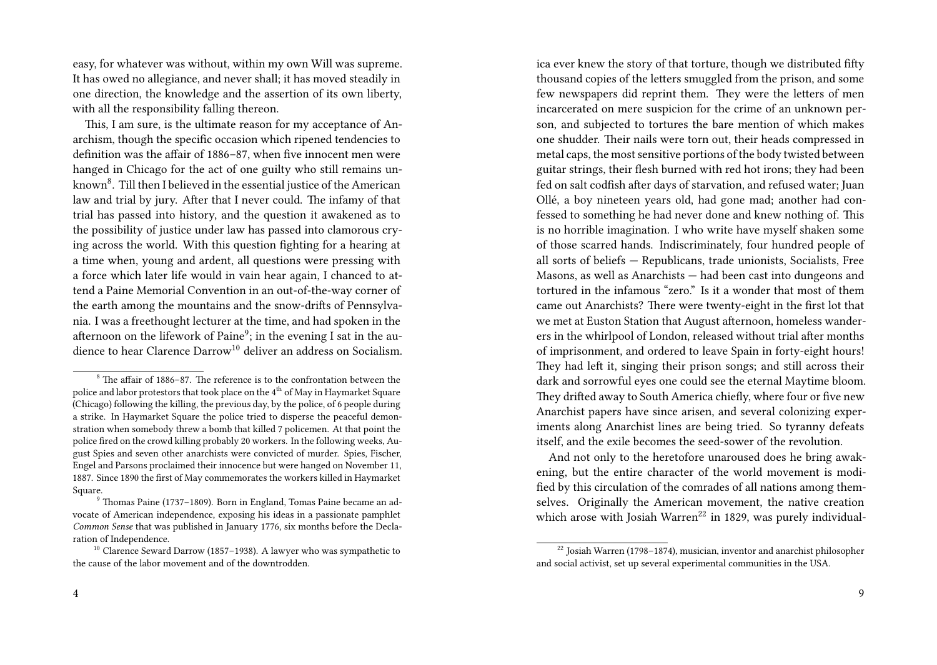easy, for whatever was without, within my own Will was supreme. It has owed no allegiance, and never shall; it has moved steadily in one direction, the knowledge and the assertion of its own liberty, with all the responsibility falling thereon.

This, I am sure, is the ultimate reason for my acceptance of Anarchism, though the specific occasion which ripened tendencies to definition was the affair of 1886–87, when five innocent men were hanged in Chicago for the act of one guilty who still remains unknown $^8$ . Till then I believed in the essential justice of the American law and trial by jury. After that I never could. The infamy of that trial has passed into history, and the question it awakened as to the possibility of justice under law has passed into clamorous crying across the world. With this question fighting for a hearing at a time when, young and ardent, all questions were pressing with a force which later life would in vain hear again, I chanced to attend a Paine Memorial Convention in an out-of-the-way corner of the earth among the mountains and the snow-drifts of Pennsylvania. I was a freethought lecturer at the time, and had spoken in the afternoon on the lifework of Paine<sup>9</sup>; in the evening I sat in the audience to hear Clarence Darrow<sup>10</sup> deliver an address on Socialism. ica ever knew the story of that torture, though we distributed fifty thousand copies of the letters smuggled from the prison, and some few newspapers did reprint them. They were the letters of men incarcerated on mere suspicion for the crime of an unknown person, and subjected to tortures the bare mention of which makes one shudder. Their nails were torn out, their heads compressed in metal caps, the most sensitive portions of the body twisted between guitar strings, their flesh burned with red hot irons; they had been fed on salt codfish after days of starvation, and refused water; Juan Ollé, a boy nineteen years old, had gone mad; another had confessed to something he had never done and knew nothing of. This is no horrible imagination. I who write have myself shaken some of those scarred hands. Indiscriminately, four hundred people of all sorts of beliefs — Republicans, trade unionists, Socialists, Free Masons, as well as Anarchists — had been cast into dungeons and tortured in the infamous "zero." Is it a wonder that most of them came out Anarchists? There were twenty-eight in the first lot that we met at Euston Station that August afternoon, homeless wanderers in the whirlpool of London, released without trial after months of imprisonment, and ordered to leave Spain in forty-eight hours! They had left it, singing their prison songs; and still across their dark and sorrowful eyes one could see the eternal Maytime bloom. They drifted away to South America chiefly, where four or five new Anarchist papers have since arisen, and several colonizing experiments along Anarchist lines are being tried. So tyranny defeats itself, and the exile becomes the seed-sower of the revolution.

And not only to the heretofore unaroused does he bring awakening, but the entire character of the world movement is modified by this circulation of the comrades of all nations among themselves. Originally the American movement, the native creation which arose with Josiah Warren<sup>22</sup> in 1829, was purely individual-

<sup>8</sup> The affair of 1886–87. The reference is to the confrontation between the police and labor protestors that took place on the 4<sup>th</sup> of May in Haymarket Square (Chicago) following the killing, the previous day, by the police, of 6 people during a strike. In Haymarket Square the police tried to disperse the peaceful demonstration when somebody threw a bomb that killed 7 policemen. At that point the police fired on the crowd killing probably 20 workers. In the following weeks, August Spies and seven other anarchists were convicted of murder. Spies, Fischer, Engel and Parsons proclaimed their innocence but were hanged on November 11, 1887. Since 1890 the first of May commemorates the workers killed in Haymarket Square.

<sup>9</sup> Thomas Paine (1737–1809). Born in England, Tomas Paine became an advocate of American independence, exposing his ideas in a passionate pamphlet *Common Sense* that was published in January 1776, six months before the Declaration of Independence.

<sup>&</sup>lt;sup>10</sup> Clarence Seward Darrow (1857–1938). A lawyer who was sympathetic to the cause of the labor movement and of the downtrodden.

<sup>&</sup>lt;sup>22</sup> Josiah Warren (1798–1874), musician, inventor and anarchist philosopher and social activist, set up several experimental communities in the USA.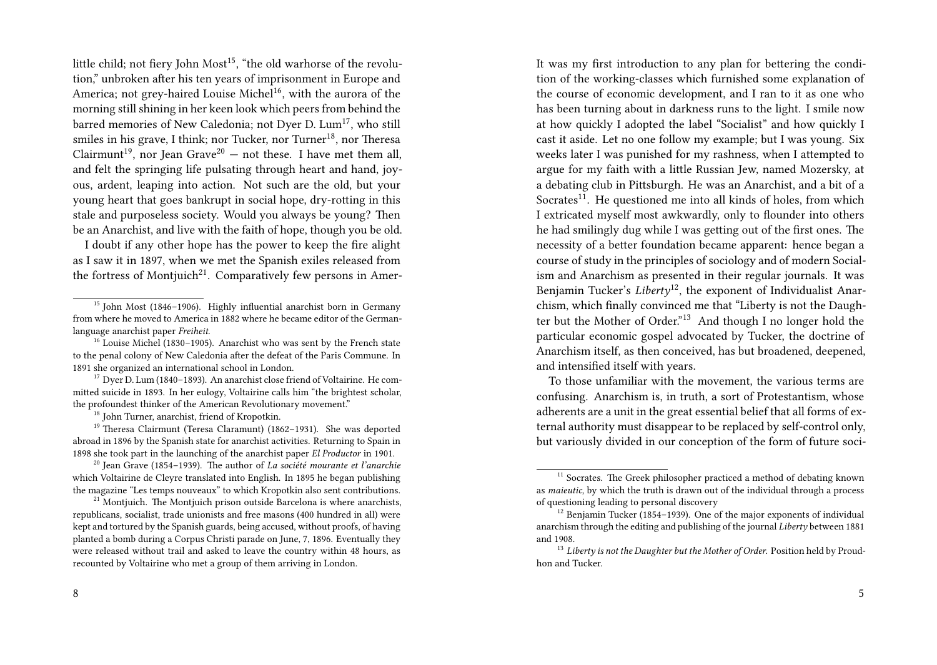little child; not fiery John  $Most^{15}$ , "the old warhorse of the revolution," unbroken after his ten years of imprisonment in Europe and America; not grey-haired Louise Michel<sup>16</sup>, with the aurora of the morning still shining in her keen look which peers from behind the barred memories of New Caledonia; not Dyer D. Lum<sup>17</sup>, who still smiles in his grave, I think; nor Tucker, nor Turner<sup>18</sup>, nor Theresa Clairmunt<sup>19</sup>, nor Jean Grave<sup>20</sup> – not these. I have met them all, and felt the springing life pulsating through heart and hand, joyous, ardent, leaping into action. Not such are the old, but your young heart that goes bankrupt in social hope, dry-rotting in this stale and purposeless society. Would you always be young? Then be an Anarchist, and live with the faith of hope, though you be old.

I doubt if any other hope has the power to keep the fire alight as I saw it in 1897, when we met the Spanish exiles released from the fortress of Montjuich<sup>21</sup>. Comparatively few persons in Amer-

<sup>16</sup> Louise Michel (1830–1905). Anarchist who was sent by the French state to the penal colony of New Caledonia after the defeat of the Paris Commune. In 1891 she organized an international school in London.

 $17$  Dyer D. Lum (1840–1893). An anarchist close friend of Voltairine. He committed suicide in 1893. In her eulogy, Voltairine calls him "the brightest scholar, the profoundest thinker of the American Revolutionary movement."

<sup>18</sup> John Turner, anarchist, friend of Kropotkin.

<sup>19</sup> Theresa Clairmunt (Teresa Claramunt) (1862–1931). She was deported abroad in 1896 by the Spanish state for anarchist activities. Returning to Spain in 1898 she took part in the launching of the anarchist paper *El Productor* in 1901.

<sup>20</sup> Jean Grave (1854–1939). The author of *La société mourante et l'anarchie* which Voltairine de Cleyre translated into English. In 1895 he began publishing the magazine "Les temps nouveaux" to which Kropotkin also sent contributions.

 $21$  Montjuich. The Montjuich prison outside Barcelona is where anarchists, republicans, socialist, trade unionists and free masons (400 hundred in all) were kept and tortured by the Spanish guards, being accused, without proofs, of having planted a bomb during a Corpus Christi parade on June, 7, 1896. Eventually they were released without trail and asked to leave the country within 48 hours, as recounted by Voltairine who met a group of them arriving in London.

It was my first introduction to any plan for bettering the condition of the working-classes which furnished some explanation of the course of economic development, and I ran to it as one who has been turning about in darkness runs to the light. I smile now at how quickly I adopted the label "Socialist" and how quickly I cast it aside. Let no one follow my example; but I was young. Six weeks later I was punished for my rashness, when I attempted to argue for my faith with a little Russian Jew, named Mozersky, at a debating club in Pittsburgh. He was an Anarchist, and a bit of a Socrates $^{11}$ . He questioned me into all kinds of holes, from which I extricated myself most awkwardly, only to flounder into others he had smilingly dug while I was getting out of the first ones. The necessity of a better foundation became apparent: hence began a course of study in the principles of sociology and of modern Socialism and Anarchism as presented in their regular journals. It was Benjamin Tucker's *Liberty*<sup>12</sup>, the exponent of Individualist Anarchism, which finally convinced me that "Liberty is not the Daughter but the Mother of Order."<sup>13</sup> And though I no longer hold the particular economic gospel advocated by Tucker, the doctrine of Anarchism itself, as then conceived, has but broadened, deepened, and intensified itself with years.

To those unfamiliar with the movement, the various terms are confusing. Anarchism is, in truth, a sort of Protestantism, whose adherents are a unit in the great essential belief that all forms of external authority must disappear to be replaced by self-control only, but variously divided in our conception of the form of future soci-

<sup>&</sup>lt;sup>15</sup> John Most (1846–1906). Highly influential anarchist born in Germany from where he moved to America in 1882 where he became editor of the Germanlanguage anarchist paper *Freiheit*.

 $11$  Socrates. The Greek philosopher practiced a method of debating known as *maieutic*, by which the truth is drawn out of the individual through a process of questioning leading to personal discovery

<sup>&</sup>lt;sup>12</sup> Benjamin Tucker (1854-1939). One of the major exponents of individual anarchism through the editing and publishing of the journal *Liberty* between 1881 and 1908.

<sup>13</sup> *Liberty is not the Daughter but the Mother of Order*. Position held by Proudhon and Tucker.